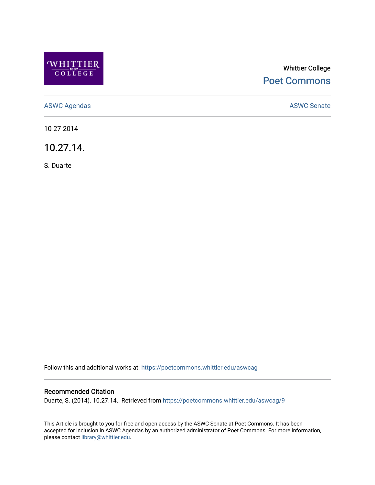

# Whittier College [Poet Commons](https://poetcommons.whittier.edu/)

[ASWC Agendas](https://poetcommons.whittier.edu/aswcag) **ASWC Senate** 

10-27-2014

10.27.14.

S. Duarte

Follow this and additional works at: [https://poetcommons.whittier.edu/aswcag](https://poetcommons.whittier.edu/aswcag?utm_source=poetcommons.whittier.edu%2Faswcag%2F9&utm_medium=PDF&utm_campaign=PDFCoverPages) 

### Recommended Citation

Duarte, S. (2014). 10.27.14.. Retrieved from [https://poetcommons.whittier.edu/aswcag/9](https://poetcommons.whittier.edu/aswcag/9?utm_source=poetcommons.whittier.edu%2Faswcag%2F9&utm_medium=PDF&utm_campaign=PDFCoverPages) 

This Article is brought to you for free and open access by the ASWC Senate at Poet Commons. It has been accepted for inclusion in ASWC Agendas by an authorized administrator of Poet Commons. For more information, please contact [library@whittier.edu](mailto:library@whittier.edu).